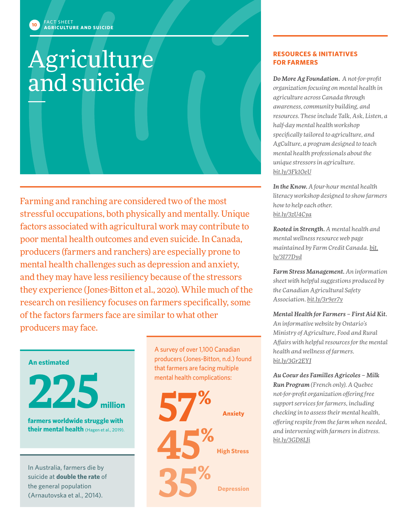# Agriculture and suicide

Farming and ranching are considered two of the most stressful occupations, both physically and mentally. Unique factors associated with agricultural work may contribute to poor mental health outcomes and even suicide. In Canada, producers (farmers and ranchers) are especially prone to mental health challenges such as depression and anxiety, and they may have less resiliency because of the stressors they experience (Jones-Bitton et al., 2020). While much of the research on resiliency focuses on farmers specifically, some of the factors farmers face are similar to what other producers may face.



the general population (Arnautovska et al., 2014). A survey of over 1,100 Canadian producers (Jones-Bitton, n.d.) found that farmers are facing multiple mental health complications:



#### **RESOURCES & INITIATIVES FOR FARMERS**

*Do More Ag Foundation. A not-for-profit organization focusing on mental health in agriculture across Canada through awareness, community building, and resources. These include Talk, Ask, Listen, a half-day mental health workshop specifically tailored to agriculture, and AgCulture, a program designed to teach mental health professionals about the unique stressors in agriculture. [bit.ly/3Fk1OeU](https://bit.ly/3Fk1OeU)*

*In the Know. A four-hour mental health literacy workshop designed to show farmers how to help each other. [bit.ly/3zU4Cya](https://bit.ly/3zU4Cya)*

*Rooted in Strength. A mental health and mental wellness resource web page maintained by Farm Credit Canada. [bit.](https://bit.ly/3I77Dyd) [ly/3I77Dyd](https://bit.ly/3I77Dyd)*

*Farm Stress Management. An information sheet with helpful suggestions produced by the Canadian Agricultural Safety Association. [bit.ly/3r9er7y](https://bit.ly/3r9er7y)*

*Mental Health for Farmers – First Aid Kit. An informative website by Ontario's Ministry of Agriculture, Food and Rural Affairs with helpful resources for the mental health and wellness of farmers. [bit.ly/3Gr2EYJ](https://bit.ly/3Gr2EYJ)*

*Au Coeur des Familles Agricoles – Milk Run Program (French only). A Quebec not-for-profit organization offering free support services for farmers, including checking in to assess their mental health, offering respite from the farm when needed, and intervening with farmers in distress. [bit.ly/3GD8LJi](https://bit.ly/3GD8LJi)*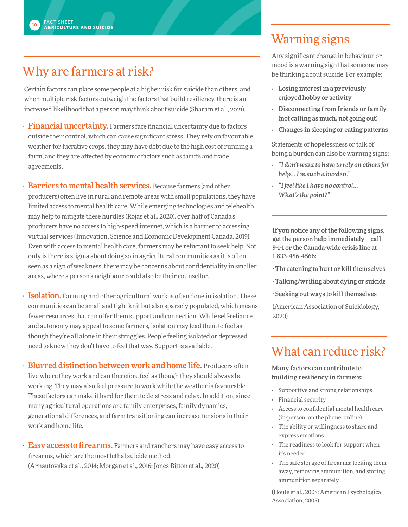# Why are farmers at risk?

Certain factors can place some people at a higher risk for suicide than others, and when multiple risk factors outweigh the factors that build resiliency, there is an increased likelihood that a person may think about suicide (Sharam et al., 2021).

- $\cdot$  **Financial uncertainty.** Farmers face financial uncertainty due to factors outside their control, which can cause significant stress. They rely on favourable weather for lucrative crops, they may have debt due to the high cost of running a farm, and they are affected by economic factors such as tariffs and trade agreements.
- ⋅ Barriers to mental health services. Because farmers (and other producers) often live in rural and remote areas with small populations, they have limited access to mental health care. While emerging technologies and telehealth may help to mitigate these hurdles (Rojas et al., 2020), over half of Canada's producers have no access to high-speed internet, which is a barrier to accessing virtual services (Innovation, Science and Economic Development Canada, 2019). Even with access to mental health care, farmers may be reluctant to seek help. Not only is there is stigma about doing so in agricultural communities as it is often seen as a sign of weakness, there may be concerns about confidentiality in smaller areas, where a person's neighbour could also be their counsellor.
- ⋅ **Isolation.** Farming and other agricultural work is often done in isolation. These communities can be small and tight knit but also sparsely populated, which means fewer resources that can offer them support and connection. While self-reliance and autonomy may appeal to some farmers, isolation may lead them to feel as though they're all alone in their struggles. People feeling isolated or depressed need to know they don't have to feel that way. Support is available.
- $\cdot$  Blurred distinction between work and home life. Producers often live where they work and can therefore feel as though they should always be working. They may also feel pressure to work while the weather is favourable. These factors can make it hard for them to de-stress and relax. In addition, since many agricultural operations are family enterprises, family dynamics, generational differences, and farm transitioning can increase tensions in their work and home life.
- $\cdot$  Easy access to firearms. Farmers and ranchers may have easy access to firearms, which are the most lethal suicide method. (Arnautovska et al., 2014; Morgan et al., 2016; Jones-Bitton et al., 2020)

## Warning signs

Any significant change in behaviour or mood is a warning sign that someone may be thinking about suicide. For example:

- Losing interest in a previously enjoyed hobby or activity
- Disconnecting from friends or family (not calling as much, not going out)
- Changes in sleeping or eating patterns

Statements of hopelessness or talk of being a burden can also be warning signs:

- *"I don't want to have to rely on others for help... I'm such a burden."*
- *"I feel like I have no control… What's the point?"*

If you notice any of the following signs, get the person help immediately – call 9-1-1 or the Canada-wide crisis line at 1-833-456-4566:

- · Threatening to hurt or kill themselves
- · Talking/writing about dying or suicide
- · Seeking out ways to kill themselves

(American Association of Suicidology, 2020)

### What can reduce risk?

Many factors can contribute to building resiliency in farmers:

- Supportive and strong relationships
- Financial security
- Access to confidential mental health care (in-person, on the phone, online)
- The ability or willingness to share and express emotions
- The readiness to look for support when it's needed
- The safe storage of firearms: locking them away, removing ammunition, and storing ammunition separately

(Houle et al., 2008; American Psychological Association, 2005)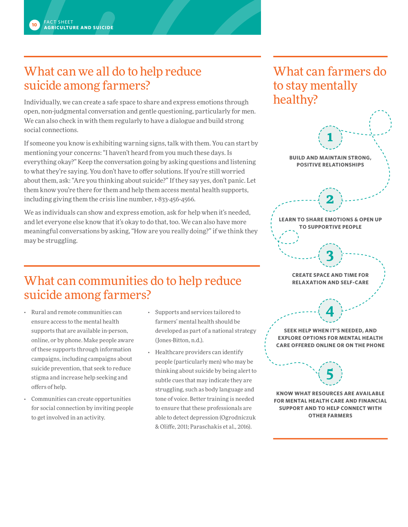### What can we all do to help reduce suicide among farmers?

Individually, we can create a safe space to share and express emotions through open, non-judgmental conversation and gentle questioning, particularly for men. We can also check in with them regularly to have a dialogue and build strong social connections.

If someone you know is exhibiting warning signs, talk with them. You can start by mentioning your concerns: "I haven't heard from you much these days. Is everything okay?" Keep the conversation going by asking questions and listening to what they're saying. You don't have to offer solutions. If you're still worried about them, ask: "Are you thinking about suicide?" If they say yes, don't panic. Let them know you're there for them and help them access mental health supports, including giving them the crisis line number, 1-833-456-4566.

We as individuals can show and express emotion, ask for help when it's needed, and let everyone else know that it's okay to do that, too. We can also have more meaningful conversations by asking, "How are you really doing?" if we think they may be struggling.

### What can communities do to help reduce suicide among farmers?

- Rural and remote communities can ensure access to the mental health supports that are available in-person, online, or by phone. Make people aware of these supports through information campaigns, including campaigns about suicide prevention, that seek to reduce stigma and increase help seeking and offers of help.
- Communities can create opportunities for social connection by inviting people to get involved in an activity.
- Supports and services tailored to farmers' mental health should be developed as part of a national strategy (Jones-Bitton, n.d.).
- Healthcare providers can identify people (particularly men) who may be thinking about suicide by being alert to subtle cues that may indicate they are struggling, such as body language and tone of voice. Better training is needed to ensure that these professionals are able to detect depression (Ogrodniczuk & Oliffe, 2011; Paraschakis et al., 2016).

### What can farmers do to stay mentally healthy?